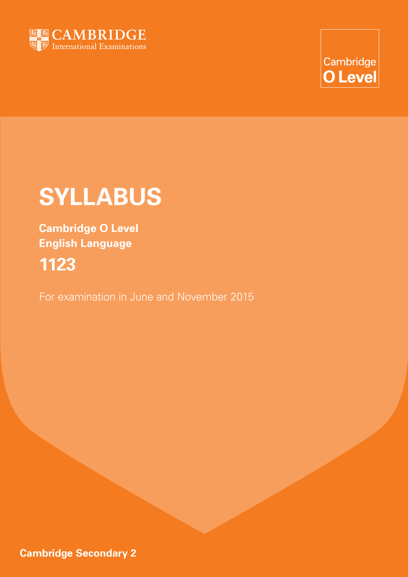

Cambridge **O** Level

# **SYLLABUS**

**Cambridge O Level English Language 1123**

For examination in June and November 2015

**Cambridge Secondary 2**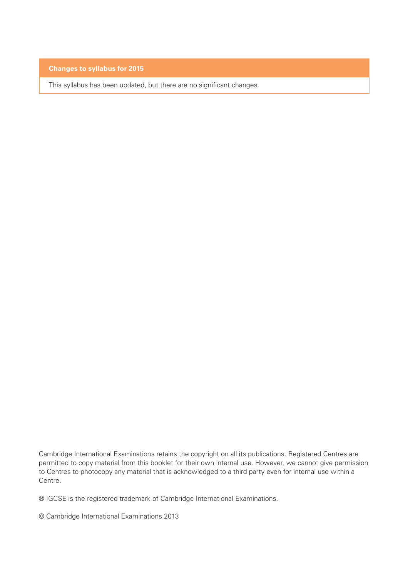### **Changes to syllabus for 2015**

This syllabus has been updated, but there are no significant changes.

Cambridge International Examinations retains the copyright on all its publications. Registered Centres are permitted to copy material from this booklet for their own internal use. However, we cannot give permission to Centres to photocopy any material that is acknowledged to a third party even for internal use within a Centre.

® IGCSE is the registered trademark of Cambridge International Examinations.

© Cambridge International Examinations 2013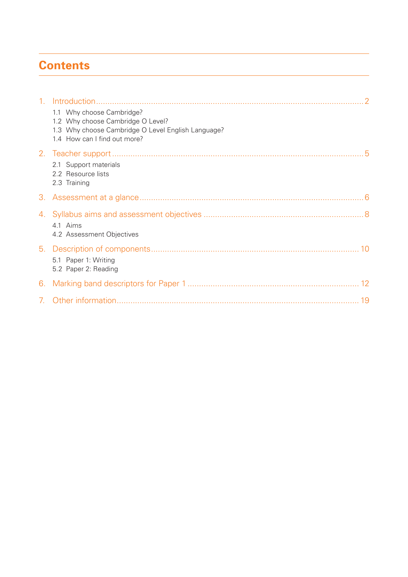# **Contents**

| $1_{1}$                        |                                                                                                                                                      |
|--------------------------------|------------------------------------------------------------------------------------------------------------------------------------------------------|
|                                | 1.1 Why choose Cambridge?<br>1.2 Why choose Cambridge O Level?<br>1.3 Why choose Cambridge O Level English Language?<br>1.4 How can I find out more? |
|                                | 2.1 Support materials<br>2.2 Resource lists<br>2.3 Training                                                                                          |
| 3.                             |                                                                                                                                                      |
|                                | 4.1 Aims<br>4.2 Assessment Objectives                                                                                                                |
|                                | 5.1 Paper 1: Writing<br>5.2 Paper 2: Reading                                                                                                         |
|                                |                                                                                                                                                      |
| $7_{\scriptscriptstyle{\sim}}$ |                                                                                                                                                      |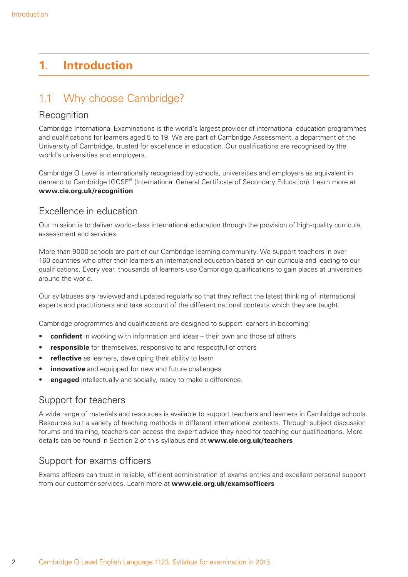# **1. Introduction**

# 1.1 Why choose Cambridge?

### **Recognition**

Cambridge International Examinations is the world's largest provider of international education programmes and qualifications for learners aged 5 to 19. We are part of Cambridge Assessment, a department of the University of Cambridge, trusted for excellence in education. Our qualifications are recognised by the world's universities and employers.

Cambridge O Level is internationally recognised by schools, universities and employers as equivalent in demand to Cambridge IGCSE® (International General Certificate of Secondary Education). Learn more at **www.cie.org.uk/recognition**

### Excellence in education

Our mission is to deliver world-class international education through the provision of high-quality curricula, assessment and services.

More than 9000 schools are part of our Cambridge learning community. We support teachers in over 160 countries who offer their learners an international education based on our curricula and leading to our qualifications. Every year, thousands of learners use Cambridge qualifications to gain places at universities around the world.

Our syllabuses are reviewed and updated regularly so that they reflect the latest thinking of international experts and practitioners and take account of the different national contexts which they are taught.

Cambridge programmes and qualifications are designed to support learners in becoming:

- **confident** in working with information and ideas their own and those of others
- **responsible** for themselves, responsive to and respectful of others
- **reflective** as learners, developing their ability to learn
- **innovative** and equipped for new and future challenges
- **engaged** intellectually and socially, ready to make a difference.

# Support for teachers

A wide range of materials and resources is available to support teachers and learners in Cambridge schools. Resources suit a variety of teaching methods in different international contexts. Through subject discussion forums and training, teachers can access the expert advice they need for teaching our qualifications. More details can be found in Section 2 of this syllabus and at **www.cie.org.uk/teachers**

### Support for exams officers

Exams officers can trust in reliable, efficient administration of exams entries and excellent personal support from our customer services. Learn more at **www.cie.org.uk/examsofficers**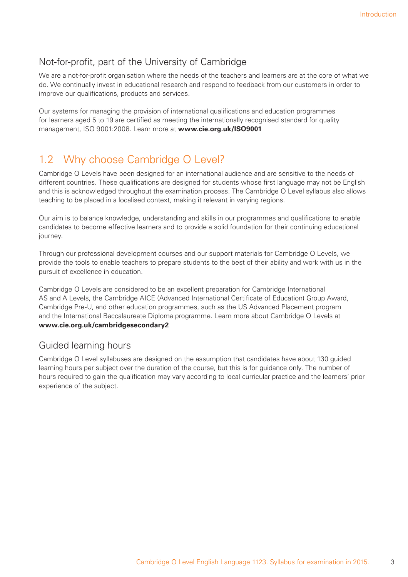# Not-for-profit, part of the University of Cambridge

We are a not-for-profit organisation where the needs of the teachers and learners are at the core of what we do. We continually invest in educational research and respond to feedback from our customers in order to improve our qualifications, products and services.

Our systems for managing the provision of international qualifications and education programmes for learners aged 5 to 19 are certified as meeting the internationally recognised standard for quality management, ISO 9001:2008. Learn more at **www.cie.org.uk/ISO9001**

# 1.2 Why choose Cambridge O Level?

Cambridge O Levels have been designed for an international audience and are sensitive to the needs of different countries. These qualifications are designed for students whose first language may not be English and this is acknowledged throughout the examination process. The Cambridge O Level syllabus also allows teaching to be placed in a localised context, making it relevant in varying regions.

Our aim is to balance knowledge, understanding and skills in our programmes and qualifications to enable candidates to become effective learners and to provide a solid foundation for their continuing educational journey.

Through our professional development courses and our support materials for Cambridge O Levels, we provide the tools to enable teachers to prepare students to the best of their ability and work with us in the pursuit of excellence in education.

Cambridge O Levels are considered to be an excellent preparation for Cambridge International AS and A Levels, the Cambridge AICE (Advanced International Certificate of Education) Group Award, Cambridge Pre-U, and other education programmes, such as the US Advanced Placement program and the International Baccalaureate Diploma programme. Learn more about Cambridge O Levels at **www.cie.org.uk/cambridgesecondary2**

### Guided learning hours

Cambridge O Level syllabuses are designed on the assumption that candidates have about 130 guided learning hours per subject over the duration of the course, but this is for guidance only. The number of hours required to gain the qualification may vary according to local curricular practice and the learners' prior experience of the subject.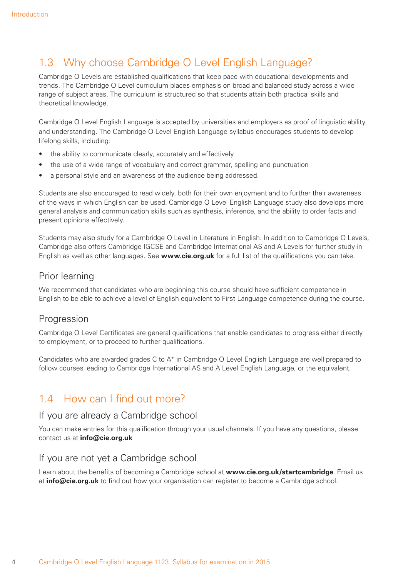# 1.3 Why choose Cambridge O Level English Language?

Cambridge O Levels are established qualifications that keep pace with educational developments and trends. The Cambridge O Level curriculum places emphasis on broad and balanced study across a wide range of subject areas. The curriculum is structured so that students attain both practical skills and theoretical knowledge.

Cambridge O Level English Language is accepted by universities and employers as proof of linguistic ability and understanding. The Cambridge O Level English Language syllabus encourages students to develop lifelong skills, including:

- the ability to communicate clearly, accurately and effectively
- the use of a wide range of vocabulary and correct grammar, spelling and punctuation
- a personal style and an awareness of the audience being addressed.

Students are also encouraged to read widely, both for their own enjoyment and to further their awareness of the ways in which English can be used. Cambridge O Level English Language study also develops more general analysis and communication skills such as synthesis, inference, and the ability to order facts and present opinions effectively.

Students may also study for a Cambridge O Level in Literature in English. In addition to Cambridge O Levels, Cambridge also offers Cambridge IGCSE and Cambridge International AS and A Levels for further study in English as well as other languages. See **www.cie.org.uk** for a full list of the qualifications you can take.

### Prior learning

We recommend that candidates who are beginning this course should have sufficient competence in English to be able to achieve a level of English equivalent to First Language competence during the course.

### Progression

Cambridge O Level Certificates are general qualifications that enable candidates to progress either directly to employment, or to proceed to further qualifications.

Candidates who are awarded grades C to A\* in Cambridge O Level English Language are well prepared to follow courses leading to Cambridge International AS and A Level English Language, or the equivalent.

# 1.4 How can I find out more?

### If you are already a Cambridge school

You can make entries for this qualification through your usual channels. If you have any questions, please contact us at **info@cie.org.uk**

### If you are not yet a Cambridge school

Learn about the benefits of becoming a Cambridge school at **www.cie.org.uk/startcambridge**. Email us at **info@cie.org.uk** to find out how your organisation can register to become a Cambridge school.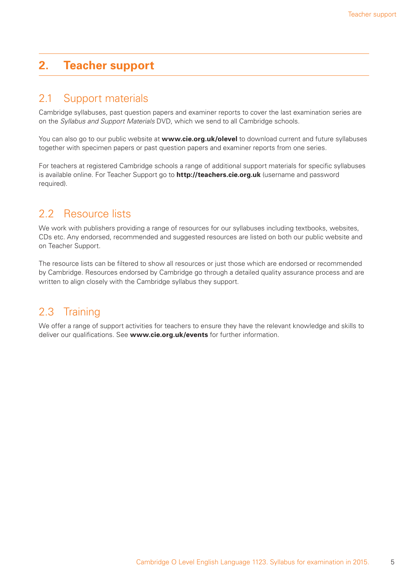# **2. Teacher support**

# 2.1 Support materials

Cambridge syllabuses, past question papers and examiner reports to cover the last examination series are on the *Syllabus and Support Materials* DVD, which we send to all Cambridge schools.

You can also go to our public website at **www.cie.org.uk/olevel** to download current and future syllabuses together with specimen papers or past question papers and examiner reports from one series.

For teachers at registered Cambridge schools a range of additional support materials for specific syllabuses is available online. For Teacher Support go to **http://teachers.cie.org.uk** (username and password required).

# 2.2 Resource lists

We work with publishers providing a range of resources for our syllabuses including textbooks, websites, CDs etc. Any endorsed, recommended and suggested resources are listed on both our public website and on Teacher Support.

The resource lists can be filtered to show all resources or just those which are endorsed or recommended by Cambridge. Resources endorsed by Cambridge go through a detailed quality assurance process and are written to align closely with the Cambridge syllabus they support.

# 2.3 Training

We offer a range of support activities for teachers to ensure they have the relevant knowledge and skills to deliver our qualifications. See **www.cie.org.uk/events** for further information.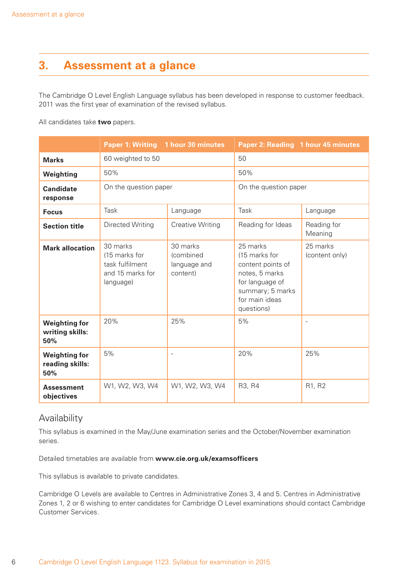# **3. Assessment at a glance**

The Cambridge O Level English Language syllabus has been developed in response to customer feedback. 2011 was the first year of examination of the revised syllabus.

All candidates take **two** papers.

|                                                | Paper 1: Writing 1 hour 30 minutes                                            |                                                   | Paper 2: Reading 1 hour 45 minutes                                                                                                      |                            |
|------------------------------------------------|-------------------------------------------------------------------------------|---------------------------------------------------|-----------------------------------------------------------------------------------------------------------------------------------------|----------------------------|
| <b>Marks</b>                                   | 60 weighted to 50                                                             |                                                   | 50                                                                                                                                      |                            |
| Weighting                                      | 50%                                                                           |                                                   | 50%                                                                                                                                     |                            |
| <b>Candidate</b><br>response                   | On the question paper                                                         |                                                   | On the question paper                                                                                                                   |                            |
| <b>Focus</b>                                   | Task                                                                          | Language                                          | Task                                                                                                                                    | Language                   |
| <b>Section title</b>                           | Directed Writing                                                              | <b>Creative Writing</b>                           | Reading for Ideas                                                                                                                       | Reading for<br>Meaning     |
| <b>Mark allocation</b>                         | 30 marks<br>(15 marks for<br>task fulfilment<br>and 15 marks for<br>language) | 30 marks<br>(combined<br>language and<br>content) | 25 marks<br>(15 marks for<br>content points of<br>notes, 5 marks<br>for language of<br>summary; 5 marks<br>for main ideas<br>questions) | 25 marks<br>(content only) |
| <b>Weighting for</b><br>writing skills:<br>50% | 20%                                                                           | 25%                                               | 5%                                                                                                                                      | $\overline{\phantom{a}}$   |
| <b>Weighting for</b><br>reading skills:<br>50% | 5%                                                                            |                                                   | 20%                                                                                                                                     | 25%                        |
| <b>Assessment</b><br>objectives                | W1, W2, W3, W4                                                                | W1, W2, W3, W4                                    | R <sub>3</sub> , R <sub>4</sub>                                                                                                         | R1, R2                     |

### Availability

This syllabus is examined in the May/June examination series and the October/November examination series.

Detailed timetables are available from **www.cie.org.uk/examsofficers**

This syllabus is available to private candidates.

Cambridge O Levels are available to Centres in Administrative Zones 3, 4 and 5. Centres in Administrative Zones 1, 2 or 6 wishing to enter candidates for Cambridge O Level examinations should contact Cambridge Customer Services.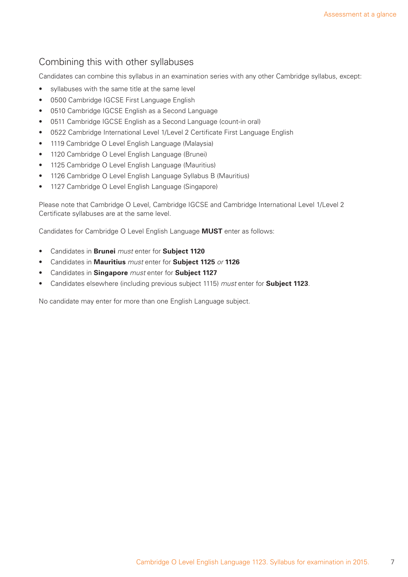# Combining this with other syllabuses

Candidates can combine this syllabus in an examination series with any other Cambridge syllabus, except:

- syllabuses with the same title at the same level
- 0500 Cambridge IGCSE First Language English
- 0510 Cambridge IGCSE English as a Second Language
- 0511 Cambridge IGCSE English as a Second Language (count-in oral)
- 0522 Cambridge International Level 1/Level 2 Certificate First Language English
- 1119 Cambridge O Level English Language (Malaysia)
- 1120 Cambridge O Level English Language (Brunei)
- 1125 Cambridge O Level English Language (Mauritius)
- 1126 Cambridge O Level English Language Syllabus B (Mauritius)
- 1127 Cambridge O Level English Language (Singapore)

Please note that Cambridge O Level, Cambridge IGCSE and Cambridge International Level 1/Level 2 Certificate syllabuses are at the same level.

Candidates for Cambridge O Level English Language **MUST** enter as follows:

- Candidates in **Brunei** *must* enter for **Subject 1120**
- Candidates in **Mauritius** *must* enter for **Subject 1125** *or* **1126**
- Candidates in **Singapore** *must* enter for **Subject 1127**
- Candidates elsewhere (including previous subject 1115) *must* enter for **Subject 1123**.

No candidate may enter for more than one English Language subject.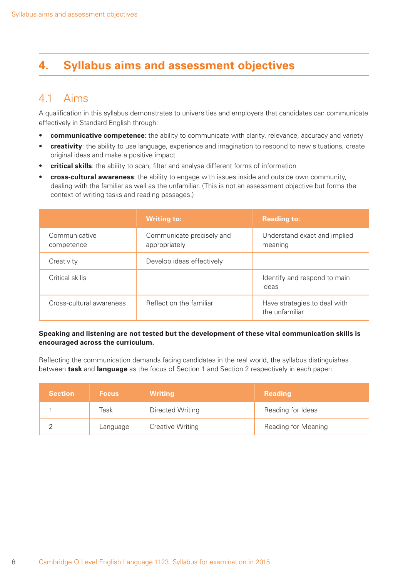# **4. Syllabus aims and assessment objectives**

# 4.1 Aims

A qualification in this syllabus demonstrates to universities and employers that candidates can communicate effectively in Standard English through:

- **communicative competence**: the ability to communicate with clarity, relevance, accuracy and variety
- **creativity**: the ability to use language, experience and imagination to respond to new situations, create original ideas and make a positive impact
- **critical skills**: the ability to scan, filter and analyse different forms of information
- **cross-cultural awareness**: the ability to engage with issues inside and outside own community, dealing with the familiar as well as the unfamiliar. (This is not an assessment objective but forms the context of writing tasks and reading passages.)

|                             | <b>Writing to:</b>                         | <b>Reading to:</b>                             |
|-----------------------------|--------------------------------------------|------------------------------------------------|
| Communicative<br>competence | Communicate precisely and<br>appropriately | Understand exact and implied<br>meaning        |
| Creativity                  | Develop ideas effectively                  |                                                |
| Critical skills             |                                            | Identify and respond to main<br>ideas          |
| Cross-cultural awareness    | Reflect on the familiar                    | Have strategies to deal with<br>the unfamiliar |

#### **Speaking and listening are not tested but the development of these vital communication skills is encouraged across the curriculum.**

Reflecting the communication demands facing candidates in the real world, the syllabus distinguishes between **task** and **language** as the focus of Section 1 and Section 2 respectively in each paper:

| <b>Section</b> | <b>Focus</b> | <b>Writing</b>          | <b>Reading</b>      |
|----------------|--------------|-------------------------|---------------------|
|                | Task         | Directed Writing        | Reading for Ideas   |
|                | Language     | <b>Creative Writing</b> | Reading for Meaning |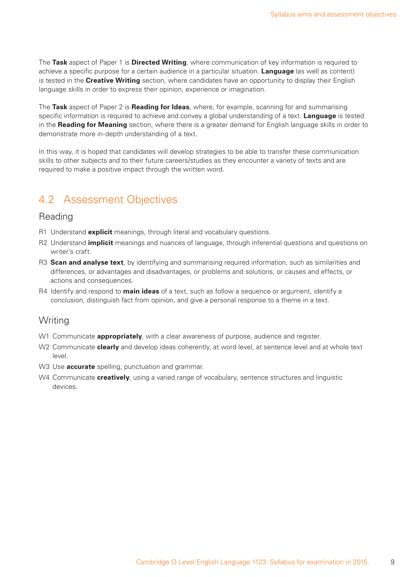The **Task** aspect of Paper 1 is **Directed Writing**, where communication of key information is required to achieve a specific purpose for a certain audience in a particular situation. **Language** (as well as content) is tested in the **Creative Writing** section, where candidates have an opportunity to display their English language skills in order to express their opinion, experience or imagination.

The **Task** aspect of Paper 2 is **Reading for Ideas**, where, for example, scanning for and summarising specific information is required to achieve and convey a global understanding of a text. **Language** is tested in the **Reading for Meaning** section, where there is a greater demand for English language skills in order to demonstrate more in-depth understanding of a text.

In this way, it is hoped that candidates will develop strategies to be able to transfer these communication skills to other subjects and to their future careers/studies as they encounter a variety of texts and are required to make a positive impact through the written word.

# 4.2 Assessment Objectives

### Reading

- R1 Understand **explicit** meanings, through literal and vocabulary questions.
- R2 Understand **implicit** meanings and nuances of language, through inferential questions and questions on writer's craft.
- R3 **Scan and analyse text**, by identifying and summarising required information, such as similarities and differences, or advantages and disadvantages, or problems and solutions, or causes and effects, or actions and consequences.
- R4 Identify and respond to **main ideas** of a text, such as follow a sequence or argument, identify a conclusion, distinguish fact from opinion, and give a personal response to a theme in a text.

### Writing

- W1 Communicate **appropriately**, with a clear awareness of purpose, audience and register.
- W2 Communicate **clearly** and develop ideas coherently, at word level, at sentence level and at whole text level.
- W3 Use **accurate** spelling, punctuation and grammar.
- W4 Communicate **creatively**, using a varied range of vocabulary, sentence structures and linguistic devices.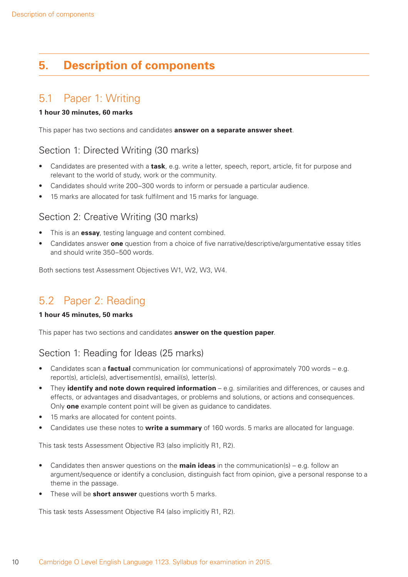# **5. Description of components**

# 5.1 Paper 1: Writing

### **1 hour 30 minutes, 60 marks**

This paper has two sections and candidates **answer on a separate answer sheet**.

### Section 1: Directed Writing (30 marks)

- Candidates are presented with a **task**, e.g. write a letter, speech, report, article, fit for purpose and relevant to the world of study, work or the community.
- Candidates should write 200–300 words to inform or persuade a particular audience.
- 15 marks are allocated for task fulfilment and 15 marks for language.

### Section 2: Creative Writing (30 marks)

- This is an **essay**, testing language and content combined.
- Candidates answer **one** question from a choice of five narrative/descriptive/argumentative essay titles and should write 350–500 words.

Both sections test Assessment Objectives W1, W2, W3, W4.

# 5.2 Paper 2: Reading

#### **1 hour 45 minutes, 50 marks**

This paper has two sections and candidates **answer on the question paper**.

### Section 1: Reading for Ideas (25 marks)

- Candidates scan a **factual** communication (or communications) of approximately 700 words e.g. report(s), article(s), advertisement(s), email(s), letter(s).
- They **identify and note down required information** e.g. similarities and differences, or causes and effects, or advantages and disadvantages, or problems and solutions, or actions and consequences. Only **one** example content point will be given as guidance to candidates.
- 15 marks are allocated for content points.
- Candidates use these notes to **write a summary** of 160 words. 5 marks are allocated for language.

This task tests Assessment Objective R3 (also implicitly R1, R2).

- Candidates then answer questions on the **main ideas** in the communication(s) e.g. follow an argument/sequence or identify a conclusion, distinguish fact from opinion, give a personal response to a theme in the passage.
- These will be **short answer** questions worth 5 marks.

This task tests Assessment Objective R4 (also implicitly R1, R2).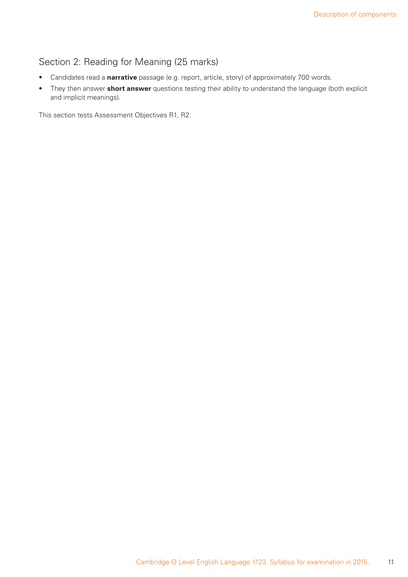# Section 2: Reading for Meaning (25 marks)

- Candidates read a **narrative** passage (e.g. report, article, story) of approximately 700 words.
- They then answer **short answer** questions testing their ability to understand the language (both explicit and implicit meanings).

This section tests Assessment Objectives R1, R2.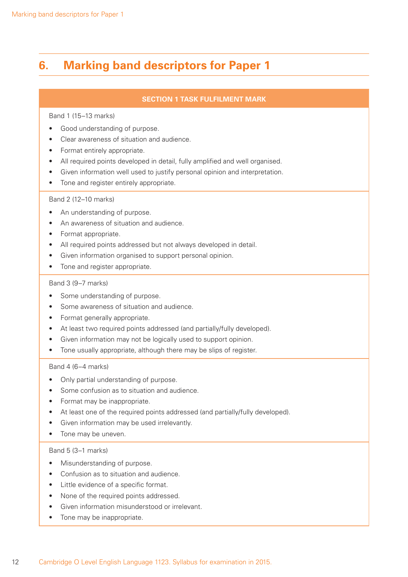# **6. Marking band descriptors for Paper 1**

### **SECTION 1 TASK FULFILMENT MARK**

#### Band 1 (15–13 marks)

- Good understanding of purpose.
- Clear awareness of situation and audience.
- Format entirely appropriate.
- All required points developed in detail, fully amplified and well organised.
- Given information well used to justify personal opinion and interpretation.
- Tone and register entirely appropriate.

### Band 2 (12–10 marks)

- An understanding of purpose.
- An awareness of situation and audience.
- Format appropriate.
- All required points addressed but not always developed in detail.
- Given information organised to support personal opinion.
- Tone and register appropriate.

#### Band 3 (9–7 marks)

- Some understanding of purpose.
- Some awareness of situation and audience.
- Format generally appropriate.
- At least two required points addressed (and partially/fully developed).
- Given information may not be logically used to support opinion.
- Tone usually appropriate, although there may be slips of register.

#### Band 4 (6–4 marks)

- Only partial understanding of purpose.
- Some confusion as to situation and audience.
- Format may be inappropriate.
- At least one of the required points addressed (and partially/fully developed).
- Given information may be used irrelevantly.
- Tone may be uneven.

#### Band 5 (3–1 marks)

- Misunderstanding of purpose.
- Confusion as to situation and audience.
- Little evidence of a specific format.
- None of the required points addressed.
- Given information misunderstood or irrelevant.
- Tone may be inappropriate.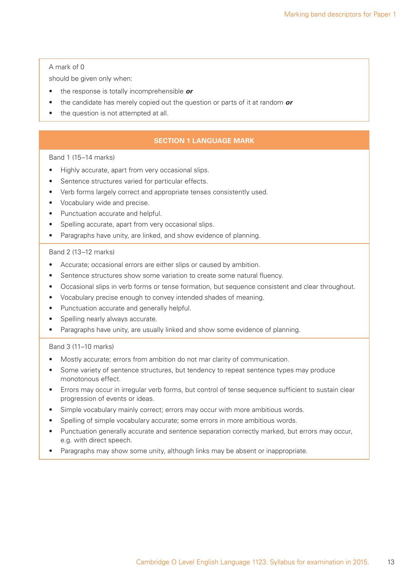#### A mark of 0

should be given only when:

- the response is totally incomprehensible *or*
- the candidate has merely copied out the question or parts of it at random *or*
- the question is not attempted at all.

### **SECTION 1 LANGUAGE MARK**

### Band 1 (15–14 marks)

- Highly accurate, apart from very occasional slips.
- Sentence structures varied for particular effects.
- Verb forms largely correct and appropriate tenses consistently used.
- Vocabulary wide and precise.
- Punctuation accurate and helpful.
- Spelling accurate, apart from very occasional slips.
- Paragraphs have unity, are linked, and show evidence of planning.

#### Band 2 (13–12 marks)

- Accurate; occasional errors are either slips or caused by ambition.
- Sentence structures show some variation to create some natural fluency.
- Occasional slips in verb forms or tense formation, but sequence consistent and clear throughout.
- Vocabulary precise enough to convey intended shades of meaning.
- Punctuation accurate and generally helpful.
- Spelling nearly always accurate.
- Paragraphs have unity, are usually linked and show some evidence of planning.

#### Band 3 (11–10 marks)

- Mostly accurate; errors from ambition do not mar clarity of communication.
- Some variety of sentence structures, but tendency to repeat sentence types may produce monotonous effect.
- Errors may occur in irregular verb forms, but control of tense sequence sufficient to sustain clear progression of events or ideas.
- Simple vocabulary mainly correct; errors may occur with more ambitious words.
- Spelling of simple vocabulary accurate; some errors in more ambitious words.
- Punctuation generally accurate and sentence separation correctly marked, but errors may occur, e.g. with direct speech.
- Paragraphs may show some unity, although links may be absent or inappropriate.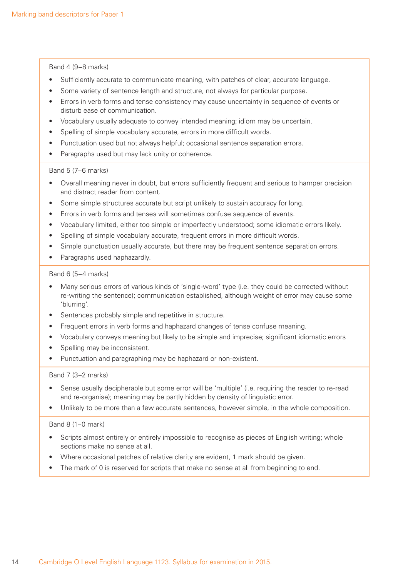Band 4 (9–8 marks)

- Sufficiently accurate to communicate meaning, with patches of clear, accurate language.
- Some variety of sentence length and structure, not always for particular purpose.
- Errors in verb forms and tense consistency may cause uncertainty in sequence of events or disturb ease of communication.
- Vocabulary usually adequate to convey intended meaning; idiom may be uncertain.
- Spelling of simple vocabulary accurate, errors in more difficult words.
- Punctuation used but not always helpful; occasional sentence separation errors.
- Paragraphs used but may lack unity or coherence.

#### Band 5 (7–6 marks)

- Overall meaning never in doubt, but errors sufficiently frequent and serious to hamper precision and distract reader from content.
- Some simple structures accurate but script unlikely to sustain accuracy for long.
- Errors in verb forms and tenses will sometimes confuse sequence of events.
- Vocabulary limited, either too simple or imperfectly understood; some idiomatic errors likely.
- Spelling of simple vocabulary accurate, frequent errors in more difficult words.
- Simple punctuation usually accurate, but there may be frequent sentence separation errors.
- Paragraphs used haphazardly.

#### Band 6 (5–4 marks)

- Many serious errors of various kinds of 'single-word' type (i.e. they could be corrected without re-writing the sentence); communication established, although weight of error may cause some 'blurring'.
- Sentences probably simple and repetitive in structure.
- Frequent errors in verb forms and haphazard changes of tense confuse meaning.
- Vocabulary conveys meaning but likely to be simple and imprecise; significant idiomatic errors
- Spelling may be inconsistent.
- Punctuation and paragraphing may be haphazard or non-existent.

#### Band 7 (3–2 marks)

- Sense usually decipherable but some error will be 'multiple' (i.e. requiring the reader to re-read and re-organise); meaning may be partly hidden by density of linguistic error.
- Unlikely to be more than a few accurate sentences, however simple, in the whole composition.

#### Band 8 (1–0 mark)

- Scripts almost entirely or entirely impossible to recognise as pieces of English writing; whole sections make no sense at all.
- Where occasional patches of relative clarity are evident, 1 mark should be given.
- The mark of 0 is reserved for scripts that make no sense at all from beginning to end.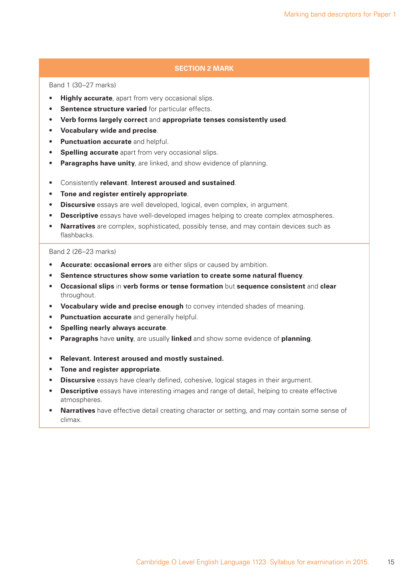### **SECTION 2 MARK**

Band 1 (30–27 marks)

- **Highly accurate**, apart from very occasional slips.
- **Sentence structure varied** for particular effects.
- **Verb forms largely correct** and **appropriate tenses consistently used**.
- **Vocabulary wide and precise**.
- **Punctuation accurate** and helpful.
- **Spelling accurate** apart from very occasional slips.
- **Paragraphs have unity**, are linked, and show evidence of planning.
- Consistently **relevant**. **Interest aroused and sustained**.
- **Tone and register entirely appropriate**.
- **Discursive** essays are well developed, logical, even complex, in argument.
- **Descriptive** essays have well-developed images helping to create complex atmospheres.
- **Narratives** are complex, sophisticated, possibly tense, and may contain devices such as flashbacks.

#### Band 2 (26–23 marks)

- **Accurate: occasional errors** are either slips or caused by ambition.
- **Sentence structures show some variation to create some natural fluency**.
- **Occasional slips** in **verb forms or tense formation** but **sequence consistent** and **clear** throughout.
- **Vocabulary wide and precise enough** to convey intended shades of meaning.
- **Punctuation accurate** and generally helpful.
- **Spelling nearly always accurate**.
- **Paragraphs** have **unity**, are usually **linked** and show some evidence of **planning**.
- **Relevant. Interest aroused and mostly sustained.**
- **Tone and register appropriate**.
- **Discursive** essays have clearly defined, cohesive, logical stages in their argument.
- **Descriptive** essays have interesting images and range of detail, helping to create effective atmospheres.
- **Narratives** have effective detail creating character or setting, and may contain some sense of climax.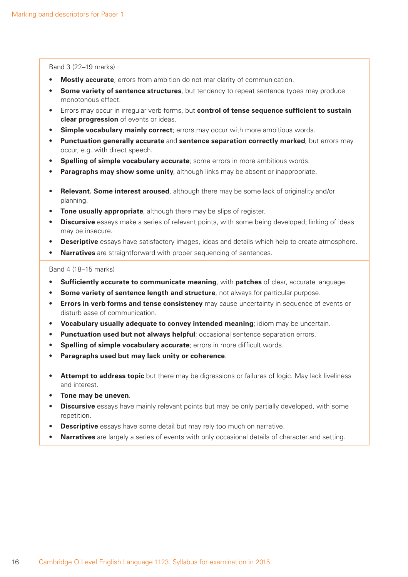Band 3 (22–19 marks)

- **Mostly accurate**; errors from ambition do not mar clarity of communication.
- **Some variety of sentence structures**, but tendency to repeat sentence types may produce monotonous effect.
- Errors may occur in irregular verb forms, but **control of tense sequence sufficient to sustain clear progression** of events or ideas.
- **Simple vocabulary mainly correct**; errors may occur with more ambitious words.
- **Punctuation generally accurate** and **sentence separation correctly marked**, but errors may occur, e.g. with direct speech.
- **Spelling of simple vocabulary accurate**; some errors in more ambitious words.
- **Paragraphs may show some unity**, although links may be absent or inappropriate.
- **Relevant. Some interest aroused**, although there may be some lack of originality and/or planning.
- **Tone usually appropriate**, although there may be slips of register.
- **Discursive** essays make a series of relevant points, with some being developed; linking of ideas may be insecure.
- **Descriptive** essays have satisfactory images, ideas and details which help to create atmosphere.
- **Narratives** are straightforward with proper sequencing of sentences.

Band 4 (18–15 marks)

- **Sufficiently accurate to communicate meaning**, with **patches** of clear, accurate language.
- **Some variety of sentence length and structure**, not always for particular purpose.
- **Errors in verb forms and tense consistency** may cause uncertainty in sequence of events or disturb ease of communication.
- **Vocabulary usually adequate to convey intended meaning**; idiom may be uncertain.
- **Punctuation used but not always helpful**; occasional sentence separation errors.
- **Spelling of simple vocabulary accurate**; errors in more difficult words.
- **Paragraphs used but may lack unity or coherence**.
- **Attempt to address topic** but there may be digressions or failures of logic. May lack liveliness and interest.
- **Tone may be uneven**.
- **Discursive** essays have mainly relevant points but may be only partially developed, with some repetition.
- **Descriptive** essays have some detail but may rely too much on narrative.
- **Narratives** are largely a series of events with only occasional details of character and setting.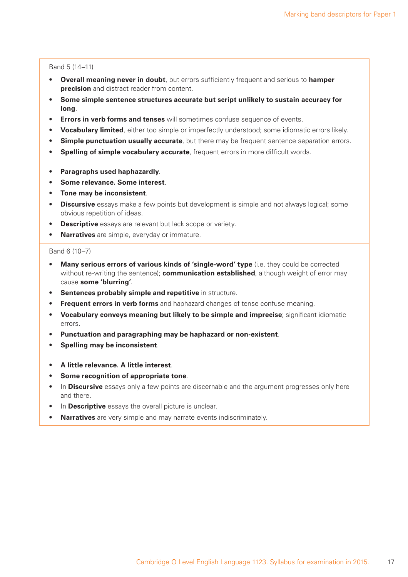#### Band 5 (14–11)

- **Overall meaning never in doubt**, but errors sufficiently frequent and serious to **hamper precision** and distract reader from content.
- **Some simple sentence structures accurate but script unlikely to sustain accuracy for long**.
- **Errors in verb forms and tenses** will sometimes confuse sequence of events.
- **Vocabulary limited**, either too simple or imperfectly understood; some idiomatic errors likely.
- **Simple punctuation usually accurate**, but there may be frequent sentence separation errors.
- **Spelling of simple vocabulary accurate**, frequent errors in more difficult words.
- **Paragraphs used haphazardly**.
- **Some relevance. Some interest**.
- **Tone may be inconsistent**.
- **Discursive** essays make a few points but development is simple and not always logical; some obvious repetition of ideas.
- **Descriptive** essays are relevant but lack scope or variety.
- **Narratives** are simple, everyday or immature.

#### Band 6 (10–7)

- **Many serious errors of various kinds of 'single-word' type** (i.e. they could be corrected without re-writing the sentence); **communication established**, although weight of error may cause **some 'blurring'**.
- **Sentences probably simple and repetitive** in structure.
- **Frequent errors in verb forms** and haphazard changes of tense confuse meaning.
- **Vocabulary conveys meaning but likely to be simple and imprecise**; significant idiomatic errors.
- **Punctuation and paragraphing may be haphazard or non-existent**.
- **Spelling may be inconsistent**.
- **A little relevance. A little interest**.
- **Some recognition of appropriate tone**.
- In **Discursive** essays only a few points are discernable and the argument progresses only here and there.
- In **Descriptive** essays the overall picture is unclear.
- **Narratives** are very simple and may narrate events indiscriminately.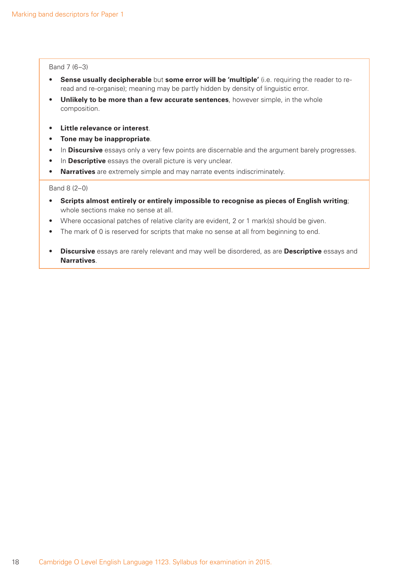#### Band 7 (6–3)

- **Sense usually decipherable** but **some error will be 'multiple'** (i.e. requiring the reader to reread and re-organise); meaning may be partly hidden by density of linguistic error.
- **Unlikely to be more than a few accurate sentences**, however simple, in the whole composition.
- **Little relevance or interest**.
- **Tone may be inappropriate**.
- In **Discursive** essays only a very few points are discernable and the argument barely progresses.
- In **Descriptive** essays the overall picture is very unclear.
- **Narratives** are extremely simple and may narrate events indiscriminately.

Band 8 (2–0)

- **Scripts almost entirely or entirely impossible to recognise as pieces of English writing**; whole sections make no sense at all.
- Where occasional patches of relative clarity are evident, 2 or 1 mark(s) should be given.
- The mark of 0 is reserved for scripts that make no sense at all from beginning to end.
- **Discursive** essays are rarely relevant and may well be disordered, as are **Descriptive** essays and **Narratives**.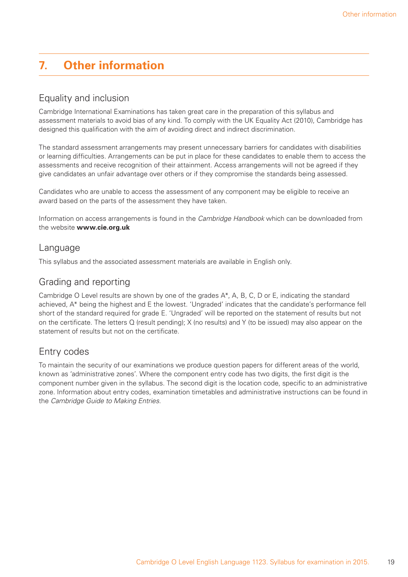# **7. Other information**

# Equality and inclusion

Cambridge International Examinations has taken great care in the preparation of this syllabus and assessment materials to avoid bias of any kind. To comply with the UK Equality Act (2010), Cambridge has designed this qualification with the aim of avoiding direct and indirect discrimination.

The standard assessment arrangements may present unnecessary barriers for candidates with disabilities or learning difficulties. Arrangements can be put in place for these candidates to enable them to access the assessments and receive recognition of their attainment. Access arrangements will not be agreed if they give candidates an unfair advantage over others or if they compromise the standards being assessed.

Candidates who are unable to access the assessment of any component may be eligible to receive an award based on the parts of the assessment they have taken.

Information on access arrangements is found in the *Cambridge Handbook* which can be downloaded from the website **www.cie.org.uk**

### Language

This syllabus and the associated assessment materials are available in English only.

# Grading and reporting

Cambridge O Level results are shown by one of the grades A\*, A, B, C, D or E, indicating the standard achieved, A\* being the highest and E the lowest. 'Ungraded' indicates that the candidate's performance fell short of the standard required for grade E. 'Ungraded' will be reported on the statement of results but not on the certificate. The letters Q (result pending); X (no results) and Y (to be issued) may also appear on the statement of results but not on the certificate.

# Entry codes

To maintain the security of our examinations we produce question papers for different areas of the world, known as 'administrative zones'. Where the component entry code has two digits, the first digit is the component number given in the syllabus. The second digit is the location code, specific to an administrative zone. Information about entry codes, examination timetables and administrative instructions can be found in the *Cambridge Guide to Making Entries*.